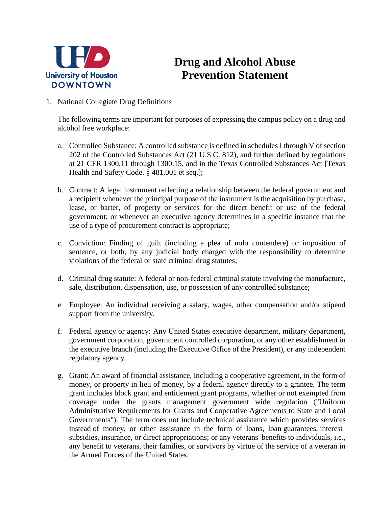

## **Drug and Alcohol Abuse Prevention Statement**

1. National Collegiate Drug Definitions

The following terms are important for purposes of expressing the campus policy on a drug and alcohol free workplace:

- a. Controlled Substance: A controlled substance is defined in schedules I through V of section 202 of the Controlled Substances Act (21 U.S.C. 812), and further defined by regulations at 21 CFR 1300.11 through 1300.15, and in the Texas Controlled Substances Act [Texas Health and Safety Code. § 481.001 et seq.];
- b. Contract: A legal instrument reflecting a relationship between the federal government and a recipient whenever the principal purpose of the instrument is the acquisition by purchase, lease, or barter, of property or services for the direct benefit or use of the federal government; or whenever an executive agency determines in a specific instance that the use of a type of procurement contract is appropriate;
- c. Conviction: Finding of guilt (including a plea of nolo contendere) or imposition of sentence, or both, by any judicial body charged with the responsibility to determine violations of the federal or state criminal drug statutes;
- d. Criminal drug statute: A federal or non-federal criminal statute involving the manufacture, sale, distribution, dispensation, use, or possession of any controlled substance;
- e. Employee: An individual receiving a salary, wages, other compensation and/or stipend support from the university.
- f. Federal agency or agency: Any United States executive department, military department, government corporation, government controlled corporation, or any other establishment in the executive branch (including the Executive Office of the President), or any independent regulatory agency.
- g. Grant: An award of financial assistance, including a cooperative agreement, in the form of money, or property in lieu of money, by a federal agency directly to a grantee. The term grant includes block grant and entitlement grant programs, whether or not exempted from coverage under the grants management government wide regulation ("Uniform Administrative Requirements for Grants and Cooperative Agreements to State and Local Governments"). The term does not include technical assistance which provides services instead of money, or other assistance in the form of loans, loan guarantees, interest subsidies, insurance, or direct appropriations; or any veterans' benefits to individuals, i.e., any benefit to veterans, their families, or survivors by virtue of the service of a veteran in the Armed Forces of the United States.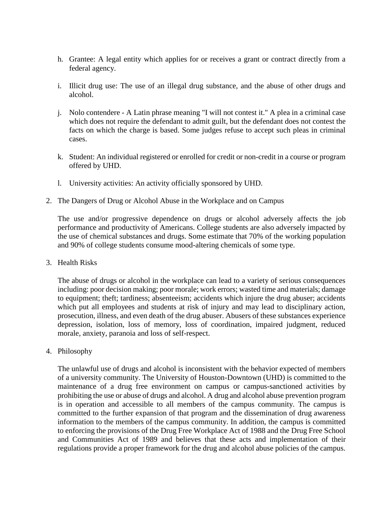- h. Grantee: A legal entity which applies for or receives a grant or contract directly from a federal agency.
- i. Illicit drug use: The use of an illegal drug substance, and the abuse of other drugs and alcohol.
- j. Nolo contendere A Latin phrase meaning "I will not contest it." A plea in a criminal case which does not require the defendant to admit guilt, but the defendant does not contest the facts on which the charge is based. Some judges refuse to accept such pleas in criminal cases.
- k. Student: An individual registered or enrolled for credit or non-credit in a course or program offered by UHD.
- l. University activities: An activity officially sponsored by UHD.
- 2. The Dangers of Drug or Alcohol Abuse in the Workplace and on Campus

The use and/or progressive dependence on drugs or alcohol adversely affects the job performance and productivity of Americans. College students are also adversely impacted by the use of chemical substances and drugs. Some estimate that 70% of the working population and 90% of college students consume mood-altering chemicals of some type.

3. Health Risks

The abuse of drugs or alcohol in the workplace can lead to a variety of serious consequences including: poor decision making; poor morale; work errors; wasted time and materials; damage to equipment; theft; tardiness; absenteeism; accidents which injure the drug abuser; accidents which put all employees and students at risk of injury and may lead to disciplinary action, prosecution, illness, and even death of the drug abuser. Abusers of these substances experience depression, isolation, loss of memory, loss of coordination, impaired judgment, reduced morale, anxiety, paranoia and loss of self-respect.

4. Philosophy

The unlawful use of drugs and alcohol is inconsistent with the behavior expected of members of a university community. The University of Houston-Downtown (UHD) is committed to the maintenance of a drug free environment on campus or campus-sanctioned activities by prohibiting the use or abuse of drugs and alcohol. A drug and alcohol abuse prevention program is in operation and accessible to all members of the campus community. The campus is committed to the further expansion of that program and the dissemination of drug awareness information to the members of the campus community. In addition, the campus is committed to enforcing the provisions of the Drug Free Workplace Act of 1988 and the Drug Free School and Communities Act of 1989 and believes that these acts and implementation of their regulations provide a proper framework for the drug and alcohol abuse policies of the campus.